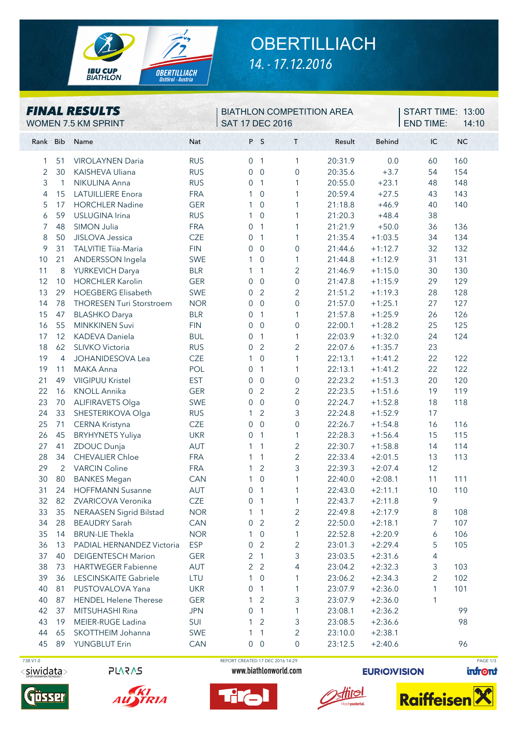

## **OBERTILLIACH** *14. - 17.12.2016*

| <b>FINAL RESULTS</b><br>WOMEN 7.5 KM SPRINT |                |                                 |            | <b>BIATHLON COMPETITION AREA</b><br><b>SAT 17 DEC 2016</b> |                |                     |         |               | START TIME: 13:00<br><b>END TIME:</b><br>14:10 |           |  |
|---------------------------------------------|----------------|---------------------------------|------------|------------------------------------------------------------|----------------|---------------------|---------|---------------|------------------------------------------------|-----------|--|
| Rank Bib                                    |                | Name                            | <b>Nat</b> |                                                            | P S            | T.                  | Result  | <b>Behind</b> | IC                                             | <b>NC</b> |  |
| 1                                           | 51             | <b>VIROLAYNEN Daria</b>         | <b>RUS</b> | $\overline{0}$                                             | $\overline{1}$ | 1                   | 20:31.9 | 0.0           | 60                                             | 160       |  |
| 2                                           | 30             | KAISHEVA Uliana                 | <b>RUS</b> | 0                                                          | $\mathbf 0$    | $\boldsymbol{0}$    | 20:35.6 | $+3.7$        | 54                                             | 154       |  |
| 3                                           | $\mathbf{1}$   | NIKULINA Anna                   | <b>RUS</b> | 0                                                          | $\overline{1}$ | $\mathbf{1}$        | 20:55.0 | $+23.1$       | 48                                             | 148       |  |
| 4                                           | 15             | <b>LATUILLIERE</b> Enora        | <b>FRA</b> | 1                                                          | $\mathbf 0$    | $\mathbf{1}$        | 20:59.4 | $+27.5$       | 43                                             | 143       |  |
| 5                                           | 17             | <b>HORCHLER Nadine</b>          | <b>GER</b> | 1                                                          | $\overline{0}$ | $\mathbf{1}$        | 21:18.8 | $+46.9$       | 40                                             | 140       |  |
| 6                                           | 59             | USLUGINA Irina                  | <b>RUS</b> | 1                                                          | $\overline{0}$ | 1                   | 21:20.3 | $+48.4$       | 38                                             |           |  |
| 7                                           | 48             | SIMON Julia                     | <b>FRA</b> | 0                                                          | $\overline{1}$ | 1                   | 21:21.9 | $+50.0$       | 36                                             | 136       |  |
| 8                                           | 50             | JISLOVA Jessica                 | <b>CZE</b> | 0                                                          | $\overline{1}$ | $\mathbf{1}$        | 21:35.4 | $+1:03.5$     | 34                                             | 134       |  |
| 9                                           | 31             | <b>TALVITIE Tiia-Maria</b>      | <b>FIN</b> | 0                                                          | $\mathbf 0$    | $\boldsymbol{0}$    | 21:44.6 | $+1:12.7$     | 32                                             | 132       |  |
| 10                                          | 21             | ANDERSSON Ingela                | <b>SWE</b> | 1                                                          | $\overline{0}$ | 1                   | 21:44.8 | $+1:12.9$     | 31                                             | 131       |  |
| 11                                          | 8              | YURKEVICH Darya                 | <b>BLR</b> | 1                                                          | $\mathbf{1}$   | $\overline{2}$      | 21:46.9 | $+1:15.0$     | 30                                             | 130       |  |
| 12                                          | 10             | <b>HORCHLER Karolin</b>         | <b>GER</b> | $\overline{0}$                                             | $\mathbf 0$    | $\mathsf{O}\xspace$ | 21:47.8 | $+1:15.9$     | 29                                             | 129       |  |
| 13                                          | 29             | <b>HOEGBERG Elisabeth</b>       | <b>SWE</b> | 0                                                          | $\overline{2}$ | $\overline{2}$      | 21:51.2 | $+1:19.3$     | 28                                             | 128       |  |
| 14                                          | 78             | <b>THORESEN Turi Storstroem</b> | <b>NOR</b> | 0                                                          | $\overline{0}$ | $\mathbf 0$         | 21:57.0 | $+1:25.1$     | 27                                             | 127       |  |
| 15                                          | 47             | <b>BLASHKO</b> Darya            | <b>BLR</b> | 0                                                          | $\overline{1}$ | $\mathbf{1}$        | 21:57.8 | $+1:25.9$     | 26                                             | 126       |  |
| 16                                          | 55             | <b>MINKKINEN Suvi</b>           | <b>FIN</b> | 0                                                          | $\overline{0}$ | $\overline{0}$      | 22:00.1 | $+1:28.2$     | 25                                             | 125       |  |
| 17                                          | 12             | <b>KADEVA Daniela</b>           | <b>BUL</b> | $\mathbf 0$                                                | $\overline{1}$ | $\mathbf{1}$        | 22:03.9 | $+1:32.0$     | 24                                             | 124       |  |
| 18                                          | 62             | SLIVKO Victoria                 | <b>RUS</b> | 0                                                          | $\overline{2}$ | $\overline{2}$      | 22:07.6 | $+1:35.7$     | 23                                             |           |  |
| 19                                          | 4              | JOHANIDESOVA Lea                | <b>CZE</b> | 1                                                          | $\overline{0}$ | 1                   | 22:13.1 | $+1:41.2$     | 22                                             | 122       |  |
| 19                                          | 11             | MAKA Anna                       | POL        | $\overline{0}$                                             | $\overline{1}$ | 1                   | 22:13.1 | $+1:41.2$     | 22                                             | 122       |  |
| 21                                          | 49             | <b>VIIGIPUU Kristel</b>         | <b>EST</b> | 0                                                          | $\mathbf 0$    | $\boldsymbol{0}$    | 22:23.2 | $+1:51.3$     | 20                                             | 120       |  |
| 22                                          | 16             | <b>KNOLL Annika</b>             | <b>GER</b> | 0                                                          | $\overline{2}$ | $\overline{2}$      | 22:23.5 | $+1:51.6$     | 19                                             | 119       |  |
| 23                                          | 70             | <b>ALIFIRAVETS Olga</b>         | SWE        | 0                                                          | $\mathbf 0$    | $\mathsf{O}\xspace$ | 22:24.7 | $+1:52.8$     | 18                                             | 118       |  |
| 24                                          | 33             | SHESTERIKOVA Olga               | <b>RUS</b> | 1                                                          | $\overline{2}$ | 3                   | 22:24.8 | $+1:52.9$     | 17                                             |           |  |
| 25                                          | 71             | CERNA Kristyna                  | <b>CZE</b> | 0                                                          | $\mathbf 0$    | $\mathsf{O}\xspace$ | 22:26.7 | $+1:54.8$     | 16                                             | 116       |  |
| 26                                          | 45             | <b>BRYHYNETS Yuliya</b>         | <b>UKR</b> | 0                                                          | $\overline{1}$ | $\mathbf{1}$        | 22:28.3 | $+1:56.4$     | 15                                             | 115       |  |
| 27                                          | 41             | ZDOUC Dunja                     | AUT        | 1                                                          | $\overline{1}$ | $\overline{2}$      | 22:30.7 | $+1:58.8$     | 14                                             | 114       |  |
| 28                                          | 34             | <b>CHEVALIER Chloe</b>          | <b>FRA</b> | 1                                                          | $\mathbf{1}$   | $\overline{2}$      | 22:33.4 | $+2:01.5$     | 13                                             | 113       |  |
| 29                                          | $\overline{2}$ | <b>VARCIN Coline</b>            | <b>FRA</b> | 1                                                          | $\overline{2}$ | 3                   | 22:39.3 | $+2:07.4$     | 12                                             |           |  |
| 30                                          | 80             | <b>BANKES Megan</b>             | <b>CAN</b> | 1                                                          | 0              | $\mathbf{1}$        | 22:40.0 | $+2:08.1$     | 11                                             | 111       |  |
| 31                                          | 24             | <b>HOFFMANN Susanne</b>         | AUT        | $\overline{0}$                                             | $\overline{1}$ | 1                   | 22:43.0 | $+2:11.1$     | 10                                             | 110       |  |
| 32                                          | 82             | ZVARICOVA Veronika              | CZE        | 0                                                          | $\sqrt{1}$     | 1                   | 22:43.7 | $+2:11.8$     | 9                                              |           |  |
| 33                                          | 35             | <b>NERAASEN Sigrid Bilstad</b>  | <b>NOR</b> | 1                                                          | $\overline{1}$ | $\overline{c}$      | 22:49.8 | $+2:17.9$     | 8                                              | 108       |  |
| 34                                          | 28             | <b>BEAUDRY Sarah</b>            | CAN        | 0                                                          | 2              | $\overline{2}$      | 22:50.0 | $+2:18.1$     | 7                                              | 107       |  |
| 35                                          | 14             | <b>BRUN-LIE Thekla</b>          | <b>NOR</b> | 1                                                          | $\overline{0}$ | 1                   | 22:52.8 | $+2:20.9$     | 6                                              | 106       |  |
| 36                                          | 13             | PADIAL HERNANDEZ Victoria       | <b>ESP</b> | 0                                                          | $\overline{2}$ | $\overline{c}$      | 23:01.3 | $+2:29.4$     | 5                                              | 105       |  |
| 37                                          | 40             | <b>DEIGENTESCH Marion</b>       | <b>GER</b> | 2                                                          | $\overline{1}$ | 3                   | 23:03.5 | $+2:31.6$     | 4                                              |           |  |
| 38                                          | 73             | <b>HARTWEGER Fabienne</b>       | AUT        |                                                            | 2 <sub>2</sub> | 4                   | 23:04.2 | $+2:32.3$     | 3                                              | 103       |  |
| 39                                          | 36             | LESCINSKAITE Gabriele           | LTU        | 1                                                          | $\mathbf 0$    | 1                   | 23:06.2 | $+2:34.3$     | 2                                              | 102       |  |
| 40                                          | 81             | PUSTOVALOVA Yana                | <b>UKR</b> | 0                                                          | $\overline{1}$ | 1                   | 23:07.9 | $+2:36.0$     | 1                                              | 101       |  |
| 40                                          | 87             | <b>HENDEL Helene Therese</b>    | <b>GER</b> | 1                                                          | 2              | 3                   | 23:07.9 | $+2:36.0$     | 1                                              |           |  |
| 42                                          | 37             | MITSUHASHI Rina                 | <b>JPN</b> | 0                                                          | $\sqrt{1}$     | 1                   | 23:08.1 | $+2:36.2$     |                                                | 99        |  |
| 43                                          | 19             | MEIER-RUGE Ladina               | SUI        | 1                                                          | 2              | 3                   | 23:08.5 | $+2:36.6$     |                                                | 98        |  |
| 44                                          | 65             | SKOTTHEIM Johanna               | SWE        | 1                                                          | $\sqrt{1}$     | $\mathbf{2}$        | 23:10.0 | $+2:38.1$     |                                                |           |  |
| 45                                          |                | 89 YUNGBLUT Erin                | CAN        |                                                            | $0\quad 0$     | $\mathbf 0$         | 23:12.5 | $+2:40.6$     |                                                | 96        |  |

## <siwidata>

**PLARAS** 





 73B V1.0 REPORT CREATED 17 DEC 2016 14:29 PAGE 1/3www.biathlonworld.com

T.

**EURIO)VISION** 

**firel** 

infront

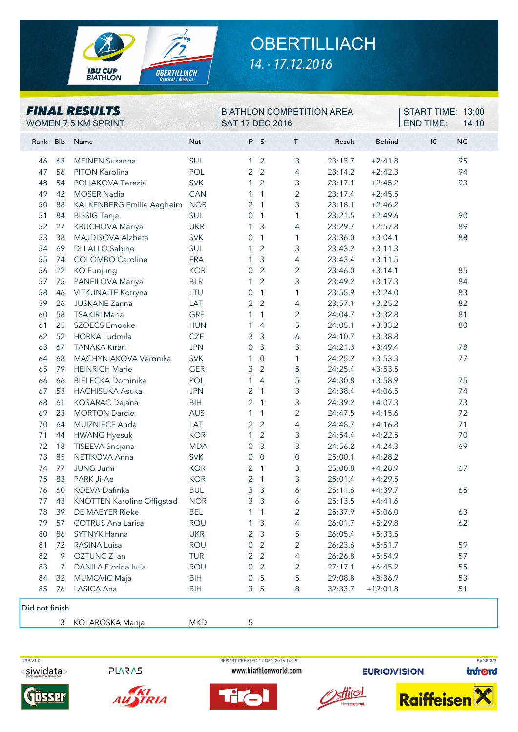

## **OBERTILLIACH** *14. - 17.12.2016*

| <b>FINAL RESULTS</b><br>WOMEN 7.5 KM SPRINT |          |                                                 |                          | <b>SAT 17 DEC 2016</b> |                     | <b>BIATHLON COMPETITION AREA</b> |                    | START TIME: 13:00<br><b>END TIME:</b><br>14:10 |                 |
|---------------------------------------------|----------|-------------------------------------------------|--------------------------|------------------------|---------------------|----------------------------------|--------------------|------------------------------------------------|-----------------|
| Rank Bib                                    |          | Name                                            | Nat                      |                        | P S                 | $\mathsf T$                      | Result             | <b>Behind</b>                                  | IC<br><b>NC</b> |
| 46                                          | 63       | <b>MEINEN Susanna</b>                           | SUI                      | $\mathbf{1}$           | $\overline{2}$      | 3                                | 23:13.7            | $+2:41.8$                                      | 95              |
| 47                                          | 56       | PITON Karolina                                  | POL                      | $\overline{2}$         | $\overline{2}$      | 4                                | 23:14.2            | $+2:42.3$                                      | 94              |
| 48                                          | 54       | POLIAKOVA Terezia                               | <b>SVK</b>               | 1                      | $\overline{2}$      | 3                                | 23:17.1            | $+2:45.2$                                      | 93              |
| 49                                          | 42       | <b>MOSER Nadia</b>                              | CAN                      | 1                      | 1                   | $\overline{2}$                   | 23:17.4            | $+2:45.5$                                      |                 |
| 50                                          | 88       | KALKENBERG Emilie Aagheim                       | <b>NOR</b>               | 2                      | $\overline{1}$      | 3                                | 23:18.1            | $+2:46.2$                                      |                 |
| 51                                          | 84       | <b>BISSIG Tanja</b>                             | SUI                      | $\boldsymbol{0}$       | $\sqrt{1}$          | $\mathbf{1}$                     | 23:21.5            | $+2:49.6$                                      | 90              |
| 52                                          | 27       | <b>KRUCHOVA Mariya</b>                          | <b>UKR</b>               | 1                      | 3                   | 4                                | 23:29.7            | $+2:57.8$                                      | 89              |
| 53                                          | 38       | MAJDISOVA Alzbeta                               | <b>SVK</b>               | 0                      | $\mathbf{1}$        | 1                                | 23:36.0            | $+3:04.1$                                      | 88              |
| 54                                          | 69       | DI LALLO Sabine                                 | SUI                      | 1                      | $\overline{2}$      | 3                                | 23:43.2            | $+3:11.3$                                      |                 |
| 55                                          | 74       | <b>COLOMBO Caroline</b>                         | <b>FRA</b>               | 1                      | 3                   | 4                                | 23:43.4            | $+3:11.5$                                      |                 |
| 56                                          | 22       | <b>KO</b> Eunjung                               | <b>KOR</b>               | 0                      | $\overline{2}$      | $\overline{2}$                   | 23:46.0            | $+3:14.1$                                      | 85              |
| 57                                          | 75       | PANFILOVA Mariya                                | <b>BLR</b>               | 1                      | $\overline{2}$      | 3                                | 23:49.2            | $+3:17.3$                                      | 84              |
| 58                                          | 46       | VITKUNAITE Kotryna                              | LTU                      | 0                      | $\mathbf{1}$        | 1                                | 23:55.9            | $+3:24.0$                                      | 83              |
| 59                                          | 26       | JUSKANE Zanna                                   | LAT                      | $\overline{2}$         | $\overline{2}$      | 4                                | 23:57.1            | $+3:25.2$                                      | 82              |
| 60                                          | 58       | <b>TSAKIRI Maria</b>                            | <b>GRE</b>               | 1                      | $\mathbf{1}$        | $\overline{2}$                   | 24:04.7            | $+3:32.8$                                      | 81              |
| 61                                          | 25       | <b>SZOECS Emoeke</b>                            | <b>HUN</b>               | 1                      | $\overline{4}$      | 5                                | 24:05.1            | $+3:33.2$                                      | 80              |
| 62                                          | 52       | <b>HORKA Ludmila</b>                            | <b>CZE</b>               | 3                      | $\mathfrak{Z}$      | 6                                | 24:10.7            | $+3:38.8$                                      |                 |
| 63                                          | 67       | <b>TANAKA Kirari</b>                            | <b>JPN</b>               | 0                      | $\mathfrak{Z}$      | 3                                | 24:21.3            | $+3:49.4$                                      | 78              |
| 64                                          | 68       | MACHYNIAKOVA Veronika                           | <b>SVK</b>               | 1                      | $\mathbf 0$         | 1                                | 24:25.2            | $+3:53.3$                                      | 77              |
| 65                                          | 79       | <b>HEINRICH Marie</b>                           | <b>GER</b>               | 3                      | $\overline{2}$      | 5                                | 24:25.4            | $+3:53.5$                                      |                 |
| 66                                          | 66       | <b>BIELECKA Dominika</b>                        | POL                      | 1                      | 4                   | 5                                | 24:30.8            | $+3:58.9$                                      | 75              |
| 67                                          | 53       | <b>HACHISUKA Asuka</b>                          | <b>JPN</b>               | $\overline{2}$         | $\mathbf{1}$        | 3                                | 24:38.4            | $+4:06.5$                                      | 74              |
| 68                                          | 61       | <b>KOSARAC</b> Dejana                           | <b>BIH</b>               | 2                      | $\mathbf{1}$        | 3                                | 24:39.2            | $+4:07.3$                                      | 73              |
| 69                                          | 23       | <b>MORTON Darcie</b>                            | AUS                      | 1                      | $\mathbf{1}$        | $\overline{c}$                   | 24:47.5            | $+4:15.6$                                      | 72              |
| 70                                          | 64       | MUIZNIECE Anda                                  | LAT                      | $\overline{c}$         | $\overline{2}$      | 4                                | 24:48.7            | $+4:16.8$                                      | 71              |
| 71                                          | 44       | <b>HWANG Hyesuk</b>                             | <b>KOR</b>               | 1                      | $\overline{2}$      | 3                                | 24:54.4            | $+4:22.5$                                      | 70              |
| 72                                          | 18       | TISEEVA Snejana                                 | <b>MDA</b>               | 0                      | $\mathfrak{Z}$      | 3                                | 24:56.2            | $+4:24.3$                                      | 69              |
| 73                                          | 85       | NETIKOVA Anna                                   | <b>SVK</b>               | $\boldsymbol{0}$       | $\mathbf 0$         | $\boldsymbol{0}$                 | 25:00.1            | $+4:28.2$                                      |                 |
| 74                                          | 77       | <b>JUNG Jumi</b>                                | <b>KOR</b>               | 2                      | $\overline{1}$      | 3                                | 25:00.8            | $+4:28.9$                                      | 67              |
| 75                                          | 83       | PARK Ji-Ae                                      | <b>KOR</b>               | $\overline{2}$         | 1                   | 3                                | 25:01.4            | $+4:29.5$                                      |                 |
|                                             | 76 60    | KOEVA Dafinka                                   | <b>BUL</b>               | 3                      | 3                   | 6                                | 25:11.6            | $+4:39.7$                                      | 65              |
| 77                                          | 43       | <b>KNOTTEN Karoline Offigstad</b>               | <b>NOR</b>               | 3                      | 3                   | 6                                | 25:13.5            | $+4:41.6$                                      |                 |
| 78                                          | 39       | DE MAEYER Rieke                                 | BEL                      |                        | -1                  | 2                                | 25:37.9            | $+5:06.0$                                      | 63              |
| 79                                          | 57       | <b>COTRUS Ana Larisa</b><br><b>SYTNYK Hanna</b> | <b>ROU</b>               |                        | 3                   | 4                                | 26:01.7            | $+5:29.8$                                      | 62              |
| 80<br>81                                    | 86<br>72 | RASINA Luisa                                    | <b>UKR</b><br><b>ROU</b> | 2                      | 3<br>$\overline{2}$ | 5<br>2                           | 26:05.4            | $+5:33.5$<br>$+5:51.7$                         | 59              |
| 82                                          | 9        | OZTUNC Zilan                                    | <b>TUR</b>               | 0<br>2                 | $\overline{2}$      | 4                                | 26:23.6<br>26:26.8 | $+5:54.9$                                      | 57              |
| 83                                          | 7        | DANILA Florina Iulia                            | <b>ROU</b>               | $\Omega$               | $\overline{2}$      | 2                                | 27:17.1            | $+6:45.2$                                      | 55              |
| 84                                          | 32       | <b>MUMOVIC Maja</b>                             | <b>BIH</b>               | $\Omega$               | 5                   | 5                                | 29:08.8            | $+8:36.9$                                      | 53              |
| 85                                          | 76       | LASICA Ana                                      | <b>BIH</b>               | 3                      | 5                   | 8                                | 32:33.7            | $+12:01.8$                                     | 51              |
|                                             |          |                                                 |                          |                        |                     |                                  |                    |                                                |                 |
| Did not finish                              |          |                                                 |                          |                        |                     |                                  |                    |                                                |                 |

3 KOLAROSKA Marija MKD 5



**PLARAS** 

www.biathlonworld.com